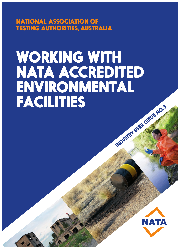NATIONAL ASSOCIATION OF TESTING AUTHORITIES, AUSTRALIA

# WORKING WITH NATA ACCREDITED ENVIRONMENTAL<br>FACILITIES TWOUSTRY USER GUIDE NO.3

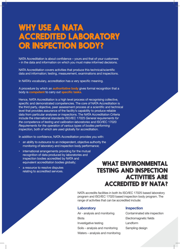# WHY USE A NATA ACCREDITED LABORATORY OR INSPECTION BODY?

NATA Accreditation is about confidence – yours and that of your customers – in the data and information on which you must make informed decisions.

NATA Accreditation covers activities that produce this technical/scientific data and information; testing, measurement, examinations and inspections.

In NATA's vocabulary, accreditation has a very specific meaning.

A procedure by which an **authoritative body** gives formal recognition that a body is **competent** to carry out **specific tasks**.

Hence, NATA Accreditation is a high level process of recognising collective, specific and demonstrated competencies. The core of NATA Accreditation is the third party, objective, peer assessment process at a scientific and technical level that provides assurance of the facility's capability to produce reliable data from particular analyses or inspections. The NATA Accreditation Criteria include the international standards ISO/IEC 17025 *General requirements for the competence of testing and calibration laboratories* and ISO/IEC 17020 *Requirements for the operation of various types of bodies performing inspection,* both of which are used globally for accreditation.

In addition to confidence, NATA Accreditation provides you with:

- an ability to outsource to an independent, objective authority the monitoring of laboratory and inspection body performance;
- international arrangements providing for the mutual recognition of data produced by laboratories and inspection bodies accredited by NATA and equivalent accreditation bodies globally;
- a resource to resolve disputes relating to accredited services.

## WHAT ENVIRONMENTAL TESTING AND INSPECTION ACTIVITIES ARE ACCREDITED BY NATA?

NATA accredits facilities in both its ISO/IEC 17025 based laboratory program and ISO/IEC 17020 based inspection body program. The range of activities that can be accredited include:

## **Laboratory Inspection**

Air - analysis and monitoring Contaminated site inspection Biota Electromagnetic fields Investigative testing **Landform** Soils – analysis and monitoring Sampling design Waters – analysis and monitoring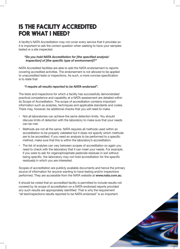## IS THE FACILITY ACCREDITED FOR WHAT I NEED?

A facility's NATA Accreditation may not cover every service that it provides so it is important to ask the correct question when seeking to have your samples tested or a site inspected.

#### *"Do you hold NATA Accreditation for [the specified analysis/ inspection] of [the specific type of environment]?"*

NATA Accredited facilities are able to add the NATA endorsement to reports covering accredited activities. The endorsement is not allowed to be applied to unaccredited tests or inspections. As such, a more concise specification is to state that

### *"I require all results reported to be NATA-endorsed".*

The tests and inspections for which a facility has successfully demonstrated practical competence and capability at a NATA assessment are detailed within its Scope of Accreditation. The scope of accreditation contains important information such as analytes, techniques and applicable standards and codes. There may, however, be additional checks that you will need to make.

- Not all laboratories can achieve the same detection limits. You should discuss limits of detection with the laboratory to make sure that your needs can be met.
- Methods are not all the same. NATA requires all methods used within an accreditation to be properly validated but it does not specify which methods are to be accredited. If you need an analysis to be performed to a specific method, make sure that this is within the laboratory's accreditation.
- The list of analytes can vary between scopes of accreditation so again you need to check with the laboratory that it can meet your needs. For example, if you were to ask for organophosphate pesticide residues in soil without being specific, the laboratory may not hold accreditation for the specific residue(s) in which you are interested.

Scopes of accreditation are publicly available documents and hence the primary source of information for anyone wanting to have testing and/or inspections performed. They are accessible from the NATA website at **www.nata.com.au**.

It should be noted that an accredited facility is permitted to include results not covered by its scope of accreditation on a NATA-endorsed reports provided any such results are appropriately identified. That is why the requirement "all test/inspections results reported to be NATA-endorsed" is so important.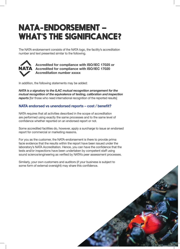# NATA-ENDORSEMENT – WHAT'S THE SIGNIFICANCE?

The NATA endorsement consists of the NATA logo, the facility's accreditation number and text presented similar to the following.



**Accredited for compliance with ISO/IEC 17025 or Accredited for compliance with ISO/IEC 17020 Accreditation number xxxxx**

In addition, the following statements may be added:

*NATA is a signatory to the ILAC mutual recognition arrangement for the mutual recognition of the equivalence of testing, calibration and inspection* **reports** [for those who need international recognition of the reported results]

## **NATA endorsed vs unendorsed reports – cost / benefit?**

NATA requires that all activities described in the scope of accreditation are performed using exactly the same processes and to the same level of confidence whether reported on an endorsed report or not.

Some accredited facilities do, however, apply a surcharge to issue an endorsed report for commercial or marketing reasons.

For you as the customer, the NATA-endorsement is there to provide prima facie evidence that the results within the report have been issued under the laboratory's NATA Accreditation. Hence, you can have the confidence that the tests and/or inspections have been undertaken by competent staff using sound science/engineering as verified by NATA's peer assessment processes.

Similarly, your own customers and auditors (if your business is subject to some form of external oversight) may share this confidence.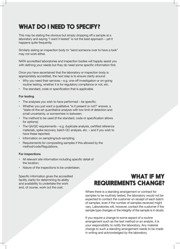## WHAT DO I NEED TO SPECIFY?

This may be stating the obvious but simply dropping off a sample at a laboratory and saying "I want it tested" is not the best approach – yet it happens quite frequently.

Similarly asking an inspection body to "send someone over to have a look" may not work either.

NATA accredited laboratories and inspection bodies will happily assist you with defining your needs but they do need some specific information first.

Once you have ascertained that the laboratory or inspection body is appropriately accredited, the next step is to ensure clarity around:

- Why you need their services e.g. one-off investigation or on-going routine testing, whether it is for regulatory compliance or not, etc.
- The standard, code or specification that is applicable.

#### **For testing**

- The analyses you wish to have performed be specific;
- Whether you just want a qualitative "is it present or not?' answer, a "state-of-the-art quantitative analysis with low limit of detection and small uncertainty, or somewhere in-between;
- The method to be used (if the standard, code or specification allows for options);
- The QA/QC requirements e.g. duplicate analysis, certified reference materials, spike recovery, batch QC analysis, etc. – and if you wish to have these reported;
- Information on sampling/sub-sampling;
- Requirements for compositing samples if this allowed by the method/code/Regulations.

#### **For inspections**

- All relevant site information including specific detail of the location;
- Nature of the inspections to be undertaken.

Specific information gives the accredited facility clarity for determining its ability and availability to undertake the work and, of course, work out the cost.

## WHAT IF MY REQUIREMENTS CHANGE?

Where there is a standing arrangement or contract for samples to be routinely tested, the laboratory would not be expected to contact the customer on receipt of each batch of samples, even if the number of samples received might vary. Laboratories will, however, contact the customer if the sample type changes or the integrity of the sample is in doubt.

If you require a change to some aspect of a routine arrangement such as the test method or an analyte, it is your responsibility to notify the laboratory. Any material change to such a standing arrangement needs to be made in writing and acknowledged by the laboratory.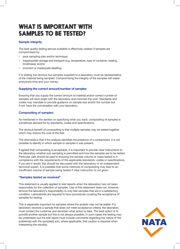## WHAT IS IMPORTANT WITH SAMPLES TO BE TESTED?

### **Sample integrity**

The best quality testing service available is effectively useless if samples are compromised by:

- poor sampling plan and/or technique;
- inappropriate storage and transport (e.g. temperature, type of container, sealing, timeliness); and/or
- incorrect or inadequate labelling.

It is stating the obvious but samples supplied to a laboratory must be representative of the material being sampled. Compromising the integrity of the samples will waste everyone's time and your money.

#### **Supplying the correct amount/number of samples**

Ensuring that you supply the correct amount of material and/or correct number of samples will save angst with the laboratory and minimise the cost. Standards and codes may mandate or provide guidance on sample size and/or the number but if not, have the conversation with your laboratory.

#### **Compositing of samples**

As mentioned in the section on specifying what you want, compositing of samples is sometimes allowed for by standards, codes and specifications.

The obvious benefit of compositing is that multiple samples may be tested together which may reduce the cost of the test.

The downside is that if the analysis identifies the presence of a contaminant, it is not possible to identify in which sample or samples it was present.

If agreed that compositing is acceptable, it is important to provide clear instructions to the laboratory whether sub-sampling is permitted and how the samples are to be tested. Particular care should be paid to ensuring the sample volume or mass tested is in compliance with the requirements of the applicable standards, codes or specifications. If you are in doubt, this should be discussed with the laboratory or an independent technical expert. It is possible that some methods of compositing may lead to an insufficient volume of sample being tested if clear instruction is not given.

#### **"Samples tested as received"**

This statement is usually applied to test reports when the laboratory has not been responsible for the collection of samples. Use of this statement does not, however, remove the laboratory's responsibility to only test samples that are in a satisfactory condition. Laboratories are required to have procedures covering the acceptance of samples for testing.

This is especially important for samples where the analyte may not be stable. If a laboratory receives a sample that does not meet acceptance criteria, the laboratory must contact the customer and ascertain what action to take. The best option is to provide another sample but this is not always possible. In such cases the testing may be undertaken but the test report must include comments regarding the nature of the problem(s) with the sample(s) and, where applicable, that caution is required when interpreting the result(s).

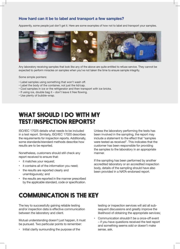## **How hard can it be to label and transport a few samples?**

Apparently, some people just don't get it. Here are some examples of how not to label and transport your samples.



Any laboratory receiving samples that look like any of the above are quite entitled to refuse service. They cannot be expected to perform miracles on samples when you've not taken the time to ensure sample integrity.

Some simple pointers:

- Label samples using something that won't wash off.
- Label the body of the container, not just the lid/cap.
- Cool samples in ice or the refrigerator and then transport with ice bricks.
- If using ice, double bag it don't leave it free flowing.
- Use plenty of bubble-wrap.

## WHAT SHOULD I DO WITH MY TEST/INSPECTION REPORTS?

ISO/IEC 17025 details what needs to be included in a test report. Similarly, ISO/IEC 17020 describes the requirements for inspection reports. Additionally, some standards/standard methods describe how results are to be reported.

Nonetheless, customers should still check any report received to ensure that:

- it matches your request;
- it contains all of the information you need;
- the results are reported clearly and unambiguously; and
- the results are reported in the manner prescribed by the applicable standard, code or specification.

Unless the laboratory performing the tests has been involved in the sampling, the report may include a statement to the effect that "samples were tested as received". This indicates that the customer has been responsible for providing the samples to the laboratory in an appropriate manner.

If the sampling has been performed by another accredited laboratory or an accredited inspection body, details of the sampling should have also been provided in a NATA-endorsed report.

## COMMUNICATION IS THE KEY

The key to successfully gaining reliable testing and/or inspection data is effective communication between the laboratory and client.

Mutual understanding doesn't just happen, it must be pursued. Two particular points to remember:

• Initial clarity surrounding the purpose of the

testing or inspection services will aid all subsequent discussions and greatly improve the likelihood of obtaining the appropriate services;

• Communication shouldn't be a once-off event – if you have questions received the test report and something seems odd or doesn't make sense, ask.